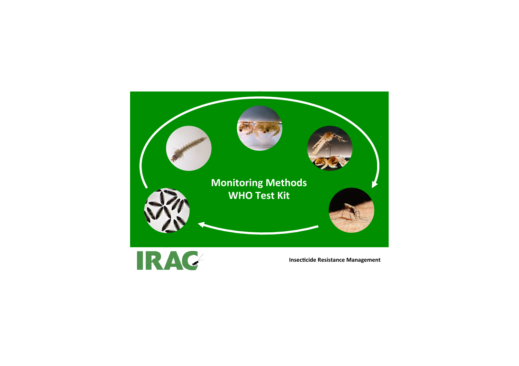



**Insecticide Resistance Management**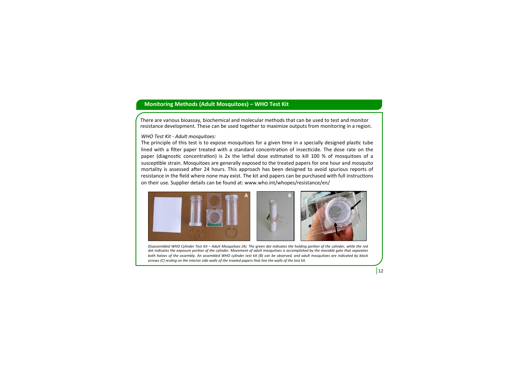## **Monitoring Methods (Adult Mosquitoes) – WHO Test Kit**

There are various bioassay, biochemical and molecular methods that can be used to test and monitor resistance development. These can be used together to maximize outputs from monitoring in a region.

## *WHO Test Kit - Adult mosquitoes:*

The principle of this test is to expose mosquitoes for a given time in a specially designed plastic tube lined with a filter paper treated with a standard concentration of insecticide. The dose rate on the paper (diagnostic concentration) is 2x the lethal dose estimated to kill 100 % of mosquitoes of a susceptible strain. Mosquitoes are generally exposed to the treated papers for one hour and mosquito mortality is assessed after 24 hours. This approach has been designed to avoid spurious reports of resistance in the field where none may exist. The kit and papers can be purchased with full instructions on their use. Supplier details can be found at: www.who.int/whopes/resistance/en/



Disassembled WHO Cylinder Test Kit - Adult Mosquitoes (A). The green dot indicates the holding portion of the cylinder, while the red dot indicates the exposure portion of the cylinder. Movement of adult mosquitoes is accomplished by the movable gate that separates both halves of the assembly. An assembled WHO cylinder test kit (B) can be observed, and adult mosquitoes are indicated by black *arrows* (C) resting on the interior side walls of the treated papers that line the walls of the test kit.

 $12$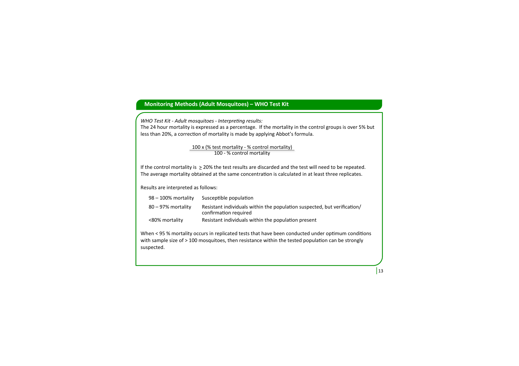## **Monitoring Methods (Adult Mosquitoes) - WHO Test Kit**

*WHO Test Kit - Adult mosquitoes - Interpreting results:* The 24 hour mortality is expressed as a percentage. If the mortality in the control groups is over 5% but less than 20%, a correction of mortality is made by applying Abbot's formula.

> 100 x (% test mortality - % control mortality) 100 - % control mortality

If the control mortality is  $\geq$  20% the test results are discarded and the test will need to be repeated. The average mortality obtained at the same concentration is calculated in at least three replicates.

Results are interpreted as follows:

| $98 - 100\%$ mortality | Susceptible population                                                                            |
|------------------------|---------------------------------------------------------------------------------------------------|
| $80 - 97%$ mortality   | Resistant individuals within the population suspected, but verification/<br>confirmation required |
| <80% mortality         | Resistant individuals within the population present                                               |

When < 95 % mortality occurs in replicated tests that have been conducted under optimum conditions with sample size of > 100 mosquitoes, then resistance within the tested population can be strongly suspected. 

 $|13$